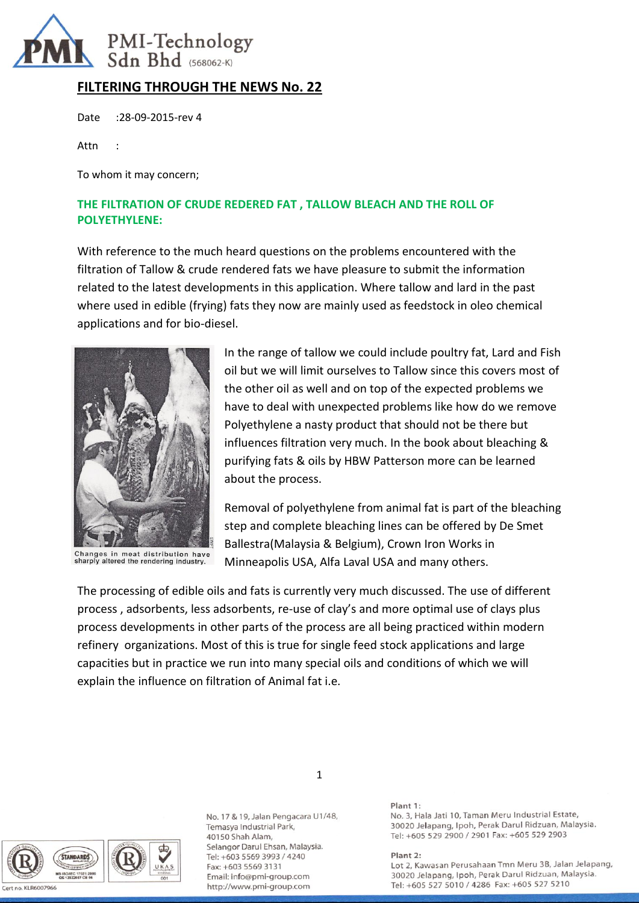

# **FILTERING THROUGH THE NEWS No. 22**

Date :28-09-2015-rev 4

Attn :

To whom it may concern;

# **THE FILTRATION OF CRUDE REDERED FAT , TALLOW BLEACH AND THE ROLL OF POLYETHYLENE:**

With reference to the much heard questions on the problems encountered with the filtration of Tallow & crude rendered fats we have pleasure to submit the information related to the latest developments in this application. Where tallow and lard in the past where used in edible (frying) fats they now are mainly used as feedstock in oleo chemical applications and for bio-diesel.



Changes in meat distribution have sharply altered the rendering industry.

In the range of tallow we could include poultry fat, Lard and Fish oil but we will limit ourselves to Tallow since this covers most of the other oil as well and on top of the expected problems we have to deal with unexpected problems like how do we remove Polyethylene a nasty product that should not be there but influences filtration very much. In the book about bleaching & purifying fats & oils by HBW Patterson more can be learned about the process.

Removal of polyethylene from animal fat is part of the bleaching step and complete bleaching lines can be offered by De Smet Ballestra(Malaysia & Belgium), Crown Iron Works in Minneapolis USA, Alfa Laval USA and many others.

The processing of edible oils and fats is currently very much discussed. The use of different process , adsorbents, less adsorbents, re-use of clay's and more optimal use of clays plus process developments in other parts of the process are all being practiced within modern refinery organizations. Most of this is true for single feed stock applications and large capacities but in practice we run into many special oils and conditions of which we will explain the influence on filtration of Animal fat i.e.

1



No. 17 & 19, Jalan Pengacara U1/48, Temasya Industrial Park, 40150 Shah Alam, Selangor Darul Ehsan, Malaysia. Tel: +603 5569 3993 / 4240 Fax: +603 5569 3131 Email: info@pmi-group.com http://www.pmi-group.com

## Plant 1:

No. 3, Hala Jati 10, Taman Meru Industrial Estate, 30020 Jelapang, Ipoh, Perak Darul Ridzuan, Malaysia. Tel: +605 529 2900 / 2901 Fax: +605 529 2903

## Plant 2: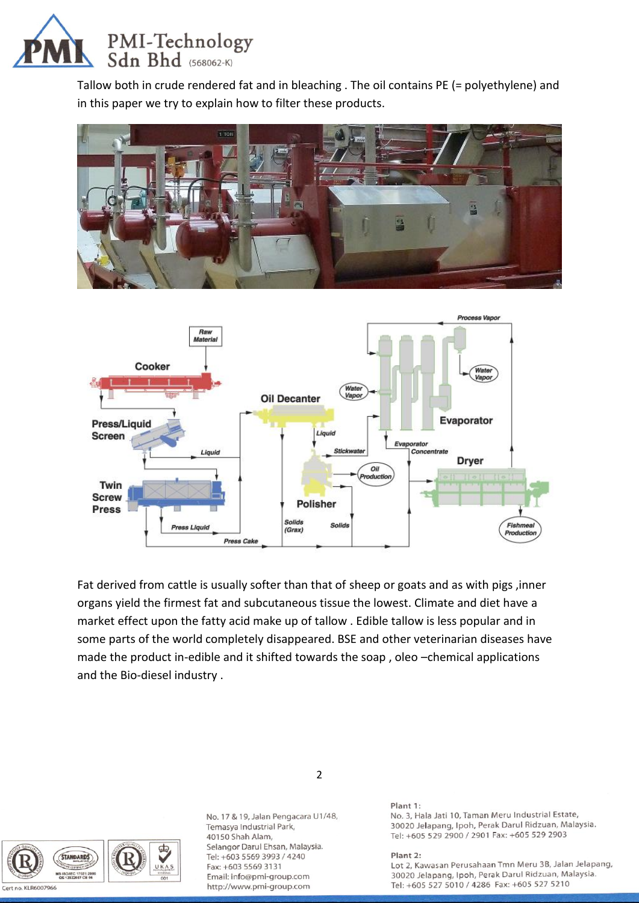

Tallow both in crude rendered fat and in bleaching . The oil contains PE (= polyethylene) and in this paper we try to explain how to filter these products.





Fat derived from cattle is usually softer than that of sheep or goats and as with pigs ,inner organs yield the firmest fat and subcutaneous tissue the lowest. Climate and diet have a market effect upon the fatty acid make up of tallow . Edible tallow is less popular and in some parts of the world completely disappeared. BSE and other veterinarian diseases have made the product in-edible and it shifted towards the soap , oleo –chemical applications and the Bio-diesel industry .

2



No. 17 & 19, Jalan Pengacara U1/48, Temasya Industrial Park, 40150 Shah Alam, Selangor Darul Ehsan, Malaysia. Tel: +603 5569 3993 / 4240 Fax: +603 5569 3131 Email: info@pmi-group.com http://www.pmi-group.com

Plant 1: No. 3, Hala Jati 10, Taman Meru Industrial Estate, 30020 Jelapang, Ipoh, Perak Darul Ridzuan, Malaysia. Tel: +605 529 2900 / 2901 Fax: +605 529 2903

## Plant 2: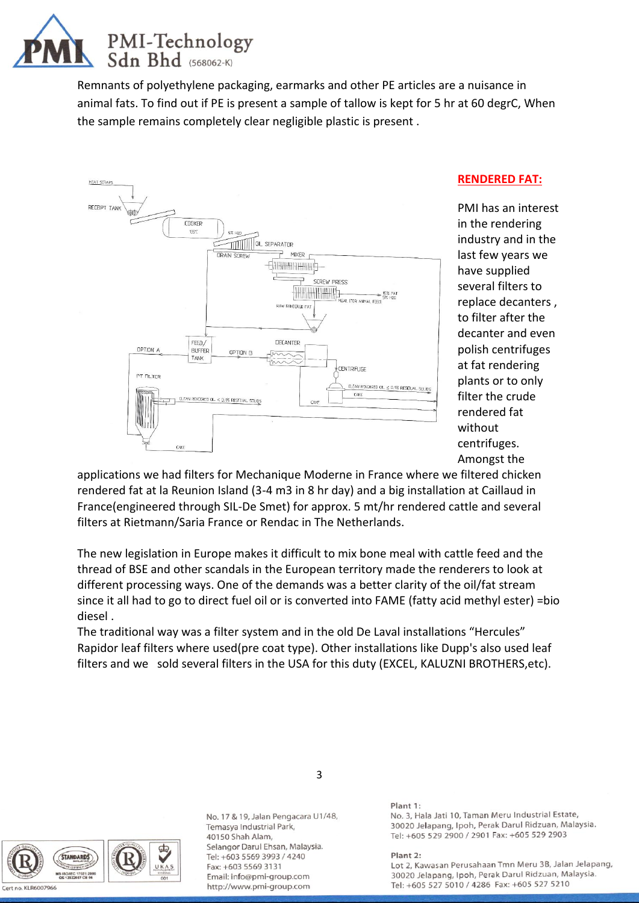

Remnants of polyethylene packaging, earmarks and other PE articles are a nuisance in animal fats. To find out if PE is present a sample of tallow is kept for 5 hr at 60 degrC, When the sample remains completely clear negligible plastic is present .



# **RENDERED FAT:**

PMI has an interest in the rendering industry and in the last few years we have supplied several filters to replace decanters , to filter after the decanter and even polish centrifuges at fat rendering plants or to only filter the crude rendered fat without centrifuges. Amongst the

applications we had filters for Mechanique Moderne in France where we filtered chicken rendered fat at la Reunion Island (3-4 m3 in 8 hr day) and a big installation at Caillaud in France(engineered through SIL-De Smet) for approx. 5 mt/hr rendered cattle and several filters at Rietmann/Saria France or Rendac in The Netherlands.

The new legislation in Europe makes it difficult to mix bone meal with cattle feed and the thread of BSE and other scandals in the European territory made the renderers to look at different processing ways. One of the demands was a better clarity of the oil/fat stream since it all had to go to direct fuel oil or is converted into FAME (fatty acid methyl ester) =bio diesel .

The traditional way was a filter system and in the old De Laval installations "Hercules" Rapidor leaf filters where used(pre coat type). Other installations like Dupp's also used leaf filters and we sold several filters in the USA for this duty (EXCEL, KALUZNI BROTHERS,etc).

3



No. 17 & 19. Jalan Pengacara U1/48, Temasya Industrial Park, 40150 Shah Alam, Selangor Darul Ehsan, Malaysia. Tel: +603 5569 3993 / 4240 Fax: +603 5569 3131 Email: info@pmi-group.com http://www.pmi-group.com

## Plant 1:

No. 3, Hala Jati 10, Taman Meru Industrial Estate, 30020 Jelapang, Ipoh, Perak Darul Ridzuan, Malaysia. Tel: +605 529 2900 / 2901 Fax: +605 529 2903

## Plant 2: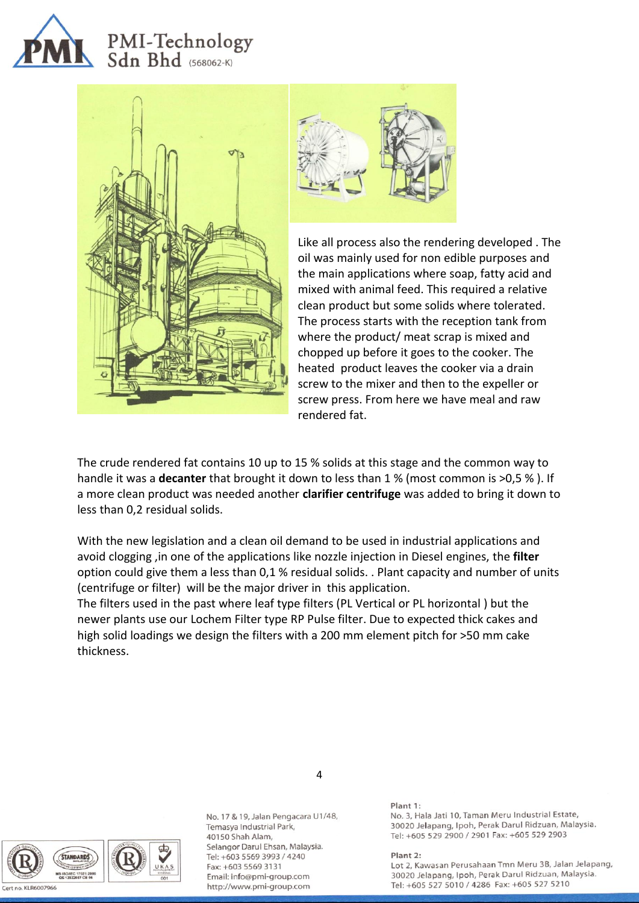





Like all process also the rendering developed . The oil was mainly used for non edible purposes and the main applications where soap, fatty acid and mixed with animal feed. This required a relative clean product but some solids where tolerated. The process starts with the reception tank from where the product/ meat scrap is mixed and chopped up before it goes to the cooker. The heated product leaves the cooker via a drain screw to the mixer and then to the expeller or screw press. From here we have meal and raw rendered fat.

The crude rendered fat contains 10 up to 15 % solids at this stage and the common way to handle it was a **decanter** that brought it down to less than 1 % (most common is >0,5 % ). If a more clean product was needed another **clarifier centrifuge** was added to bring it down to less than 0,2 residual solids.

With the new legislation and a clean oil demand to be used in industrial applications and avoid clogging ,in one of the applications like nozzle injection in Diesel engines, the **filter** option could give them a less than 0,1 % residual solids. . Plant capacity and number of units (centrifuge or filter) will be the major driver in this application.

The filters used in the past where leaf type filters (PL Vertical or PL horizontal ) but the newer plants use our Lochem Filter type RP Pulse filter. Due to expected thick cakes and high solid loadings we design the filters with a 200 mm element pitch for >50 mm cake thickness.

4



No. 17 & 19. Jalan Pengacara U1/48, Temasya Industrial Park, 40150 Shah Alam, Selangor Darul Ehsan, Malaysia. Tel: +603 5569 3993 / 4240 Fax: +603 5569 3131 Email: info@pmi-group.com http://www.pmi-group.com

## Plant 1:

No. 3, Hala Jati 10, Taman Meru Industrial Estate, 30020 Jelapang, Ipoh, Perak Darul Ridzuan, Malaysia. Tel: +605 529 2900 / 2901 Fax: +605 529 2903

Plant 2: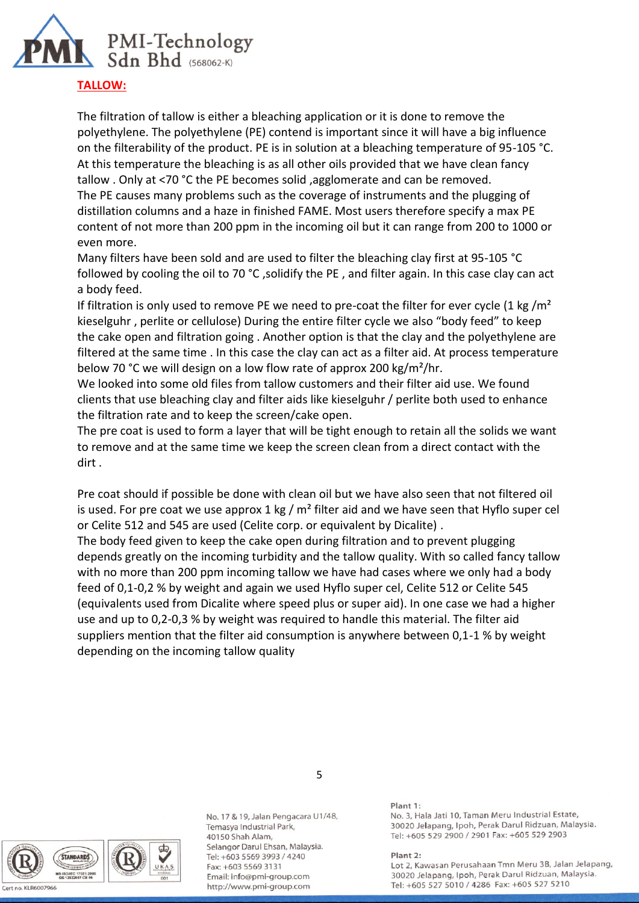

The filtration of tallow is either a bleaching application or it is done to remove the polyethylene. The polyethylene (PE) contend is important since it will have a big influence on the filterability of the product. PE is in solution at a bleaching temperature of 95-105 °C. At this temperature the bleaching is as all other oils provided that we have clean fancy tallow . Only at <70 °C the PE becomes solid ,agglomerate and can be removed. The PE causes many problems such as the coverage of instruments and the plugging of distillation columns and a haze in finished FAME. Most users therefore specify a max PE content of not more than 200 ppm in the incoming oil but it can range from 200 to 1000 or even more.

Many filters have been sold and are used to filter the bleaching clay first at 95-105 °C followed by cooling the oil to 70 °C ,solidify the PE , and filter again. In this case clay can act a body feed.

If filtration is only used to remove PE we need to pre-coat the filter for ever cycle (1 kg/m<sup>2</sup> kieselguhr , perlite or cellulose) During the entire filter cycle we also "body feed" to keep the cake open and filtration going . Another option is that the clay and the polyethylene are filtered at the same time . In this case the clay can act as a filter aid. At process temperature below 70 °C we will design on a low flow rate of approx 200 kg/m²/hr.

We looked into some old files from tallow customers and their filter aid use. We found clients that use bleaching clay and filter aids like kieselguhr / perlite both used to enhance the filtration rate and to keep the screen/cake open.

The pre coat is used to form a layer that will be tight enough to retain all the solids we want to remove and at the same time we keep the screen clean from a direct contact with the dirt .

Pre coat should if possible be done with clean oil but we have also seen that not filtered oil is used. For pre coat we use approx 1 kg /  $m<sup>2</sup>$  filter aid and we have seen that Hyflo super cel or Celite 512 and 545 are used (Celite corp. or equivalent by Dicalite) .

The body feed given to keep the cake open during filtration and to prevent plugging depends greatly on the incoming turbidity and the tallow quality. With so called fancy tallow with no more than 200 ppm incoming tallow we have had cases where we only had a body feed of 0,1-0,2 % by weight and again we used Hyflo super cel, Celite 512 or Celite 545 (equivalents used from Dicalite where speed plus or super aid). In one case we had a higher use and up to 0,2-0,3 % by weight was required to handle this material. The filter aid suppliers mention that the filter aid consumption is anywhere between 0,1-1 % by weight depending on the incoming tallow quality

5



No. 17 & 19, Jalan Pengacara U1/48, Temasya Industrial Park, 40150 Shah Alam, Selangor Darul Ehsan, Malaysia. Tel: +603 5569 3993 / 4240 Fax: +603 5569 3131 Email: info@pmi-group.com http://www.pmi-group.com

## Plant 1:

No. 3, Hala Jati 10, Taman Meru Industrial Estate, 30020 Jelapang, Ipoh, Perak Darul Ridzuan, Malaysia. Tel: +605 529 2900 / 2901 Fax: +605 529 2903

## Plant 2: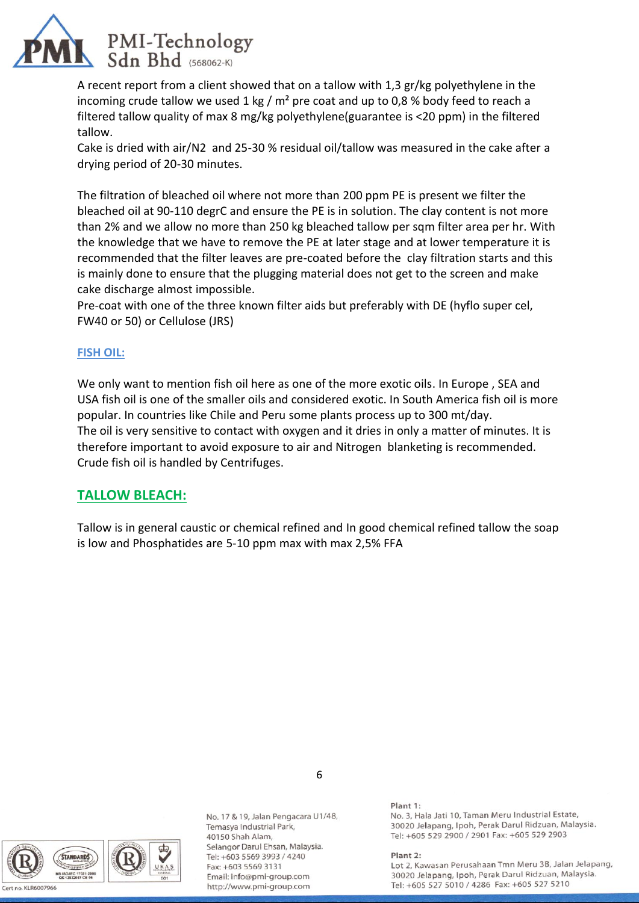

A recent report from a client showed that on a tallow with 1,3 gr/kg polyethylene in the incoming crude tallow we used 1 kg /  $m<sup>2</sup>$  pre coat and up to 0,8 % body feed to reach a filtered tallow quality of max 8 mg/kg polyethylene(guarantee is <20 ppm) in the filtered tallow.

Cake is dried with air/N2 and 25-30 % residual oil/tallow was measured in the cake after a drying period of 20-30 minutes.

The filtration of bleached oil where not more than 200 ppm PE is present we filter the bleached oil at 90-110 degrC and ensure the PE is in solution. The clay content is not more than 2% and we allow no more than 250 kg bleached tallow per sqm filter area per hr. With the knowledge that we have to remove the PE at later stage and at lower temperature it is recommended that the filter leaves are pre-coated before the clay filtration starts and this is mainly done to ensure that the plugging material does not get to the screen and make cake discharge almost impossible.

Pre-coat with one of the three known filter aids but preferably with DE (hyflo super cel, FW40 or 50) or Cellulose (JRS)

# **FISH OIL:**

We only want to mention fish oil here as one of the more exotic oils. In Europe , SEA and USA fish oil is one of the smaller oils and considered exotic. In South America fish oil is more popular. In countries like Chile and Peru some plants process up to 300 mt/day. The oil is very sensitive to contact with oxygen and it dries in only a matter of minutes. It is therefore important to avoid exposure to air and Nitrogen blanketing is recommended. Crude fish oil is handled by Centrifuges.

# **TALLOW BLEACH:**

Tallow is in general caustic or chemical refined and In good chemical refined tallow the soap is low and Phosphatides are 5-10 ppm max with max 2,5% FFA

6



No. 17 & 19, Jalan Pengacara U1/48, Temasya Industrial Park, 40150 Shah Alam, Selangor Darul Ehsan, Malaysia. Tel: +603 5569 3993 / 4240 Fax: +603 5569 3131 Email: info@pmi-group.com http://www.pmi-group.com

## Plant 1:

No. 3, Hala Jati 10, Taman Meru Industrial Estate, 30020 Jelapang, Ipoh, Perak Darul Ridzuan, Malaysia. Tel: +605 529 2900 / 2901 Fax: +605 529 2903

## Plant 2: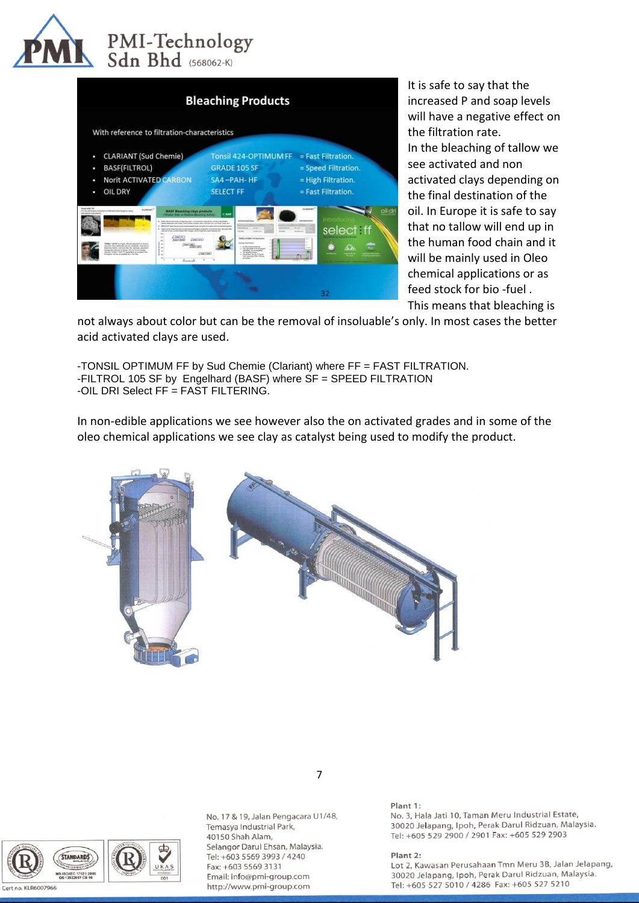

| <b>Bleaching Products</b>                                                                                                                                                                                                                                                                                                                                                                                                                                     |                                                                                                                                                                                                                                                                                                                                                                                                                                                                                                                                                                                                                                                                                                                                                                                                                                                           |                                                                                       |
|---------------------------------------------------------------------------------------------------------------------------------------------------------------------------------------------------------------------------------------------------------------------------------------------------------------------------------------------------------------------------------------------------------------------------------------------------------------|-----------------------------------------------------------------------------------------------------------------------------------------------------------------------------------------------------------------------------------------------------------------------------------------------------------------------------------------------------------------------------------------------------------------------------------------------------------------------------------------------------------------------------------------------------------------------------------------------------------------------------------------------------------------------------------------------------------------------------------------------------------------------------------------------------------------------------------------------------------|---------------------------------------------------------------------------------------|
| With reference to filtration-characteristics                                                                                                                                                                                                                                                                                                                                                                                                                  |                                                                                                                                                                                                                                                                                                                                                                                                                                                                                                                                                                                                                                                                                                                                                                                                                                                           |                                                                                       |
| <b>CLARIANT</b> (Sud Chemie)<br>۰<br><b>BASF(FILTROL)</b><br>٠<br><b>Norit ACTIVATED CARBON</b><br>п<br>OIL DRY<br>п                                                                                                                                                                                                                                                                                                                                          | Tonsil 424-OPTIMUM FF<br>GRADE 105 SF<br>SA4-PAH-HF<br><b>SELECT FF</b>                                                                                                                                                                                                                                                                                                                                                                                                                                                                                                                                                                                                                                                                                                                                                                                   | = Fast Filtration.<br>= Speed Filtration.<br>= High Filtration.<br>= Fast Filtration. |
| Seat-EXT19<br><b>CLARANT<sup>1</sup></b><br>For the allenged and advanced afficer's deptempents veng-<br><b>Market Administration</b><br>TORNA ARE \$7 is a mallion afficient adapted in contrast<br>reporters from needs only and non-period motivant by<br>Besching Kuimis, politician Keer His commission presidents<br>dinga dal estore il delle Durini Francisco<br>segner Totali, GP-17 guerreno in unitere fino<br>moggio setto economic fino che fino | <b>BASE Basiling caps predects</b><br>1-8450<br>Filmston Rote vs rienstim Breaching Archity -<br>8. Build characterized at the P. Detection of the Competition of the author is that to have the attack of<br>press hearters also also child paids subatually related for author shall also<br>. MR 147 instructs potential experience and the location and reconstruction<br>* Speculation in the contract of the contract of the contract of the<br>100<br><b>Limits</b><br>$\leftrightarrow$<br><b>SOUL-HOMEL-HOCA-Castro</b><br><b>Dear T BOW</b><br>$22000 + 455$<br>m.<br><b><i><u>Internal Standards</u></i></b><br>i el<br><b>Ander New Walkers</b><br>£ wi<br>The OR Agent at the following<br>$E = 1$<br>Ni harding annual<br><b>Close &amp; county</b><br>$\mathbf{I} =$<br>Double-to-Al-Pigers<br>$\frac{1}{2}$<br>winning of<br>٠<br>Anna wa | <b>SLAWSANT</b><br>oil:dri<br>introducio<br>mension<br>select ff<br>G)                |
|                                                                                                                                                                                                                                                                                                                                                                                                                                                               |                                                                                                                                                                                                                                                                                                                                                                                                                                                                                                                                                                                                                                                                                                                                                                                                                                                           | 32                                                                                    |

It is safe to say that the increased P and soap levels will have a negative effect on the filtration rate. In the bleaching of tallow we see activated and non activated clays depending on the final destination of the oil. In Europe it is safe to say that no tallow will end up in the human food chain and it will be mainly used in Oleo chemical applications or as feed stock for bio -fuel . This means that bleaching is

not always about color but can be the removal of insoluable's only. In most cases the better acid activated clays are used.

-TONSIL OPTIMUM FF by Sud Chemie (Clariant) where FF = FAST FILTRATION. -FILTROL 105 SF by Engelhard (BASF) where SF = SPEED FILTRATION -OIL DRI Select FF = FAST FILTERING.

In non-edible applications we see however also the on activated grades and in some of the oleo chemical applications we see clay as catalyst being used to modify the product.





No. 17 & 19, Jalan Pengacara U1/48, Temasya Industrial Park, 40150 Shah Alam, Selangor Darul Ehsan, Malaysia. Tel: +603 5569 3993 / 4240 Fax: +603 5569 3131 Email: info@pmi-group.com http://www.pmi-group.com

7

## Plant 1:

No. 3, Hala Jati 10, Taman Meru Industrial Estate, 30020 Jelapang, Ipoh, Perak Darul Ridzuan, Malaysia. Tel: +605 529 2900 / 2901 Fax: +605 529 2903

## Plant 2: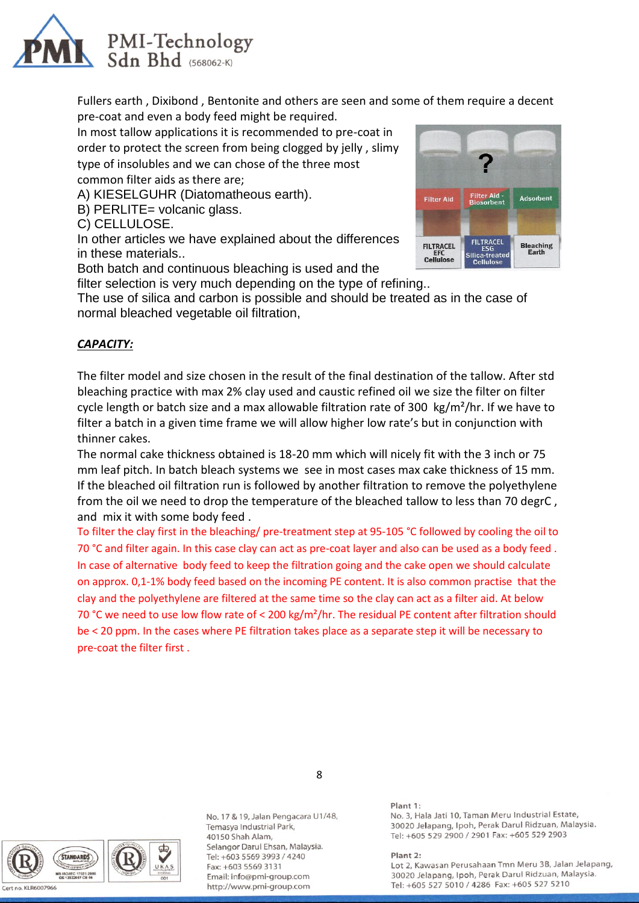

Fullers earth , Dixibond , Bentonite and others are seen and some of them require a decent pre-coat and even a body feed might be required.

In most tallow applications it is recommended to pre-coat in order to protect the screen from being clogged by jelly , slimy type of insolubles and we can chose of the three most common filter aids as there are;

A) KIESELGUHR (Diatomatheous earth).

B) PERLITE= volcanic glass.

C) CELLULOSE.

In other articles we have explained about the differences in these materials..



Both batch and continuous bleaching is used and the

filter selection is very much depending on the type of refining.. The use of silica and carbon is possible and should be treated as in the case of normal bleached vegetable oil filtration,

# *CAPACITY:*

The filter model and size chosen in the result of the final destination of the tallow. After std bleaching practice with max 2% clay used and caustic refined oil we size the filter on filter cycle length or batch size and a max allowable filtration rate of 300 kg/m²/hr. If we have to filter a batch in a given time frame we will allow higher low rate's but in conjunction with thinner cakes.

The normal cake thickness obtained is 18-20 mm which will nicely fit with the 3 inch or 75 mm leaf pitch. In batch bleach systems we see in most cases max cake thickness of 15 mm. If the bleached oil filtration run is followed by another filtration to remove the polyethylene from the oil we need to drop the temperature of the bleached tallow to less than 70 degrC , and mix it with some body feed .

To filter the clay first in the bleaching/ pre-treatment step at 95-105 °C followed by cooling the oil to 70 °C and filter again. In this case clay can act as pre-coat layer and also can be used as a body feed . In case of alternative body feed to keep the filtration going and the cake open we should calculate on approx. 0,1-1% body feed based on the incoming PE content. It is also common practise that the clay and the polyethylene are filtered at the same time so the clay can act as a filter aid. At below 70 °C we need to use low flow rate of < 200 kg/m²/hr. The residual PE content after filtration should be < 20 ppm. In the cases where PE filtration takes place as a separate step it will be necessary to pre-coat the filter first .

8



No. 17 & 19. Jalan Pengacara U1/48, Temasya Industrial Park, 40150 Shah Alam, Selangor Darul Ehsan, Malaysia. Tel: +603 5569 3993 / 4240 Fax: +603 5569 3131 Email: info@pmi-group.com http://www.pmi-group.com

## Plant 1:

No. 3, Hala Jati 10, Taman Meru Industrial Estate, 30020 Jelapang, Ipoh, Perak Darul Ridzuan, Malaysia. Tel: +605 529 2900 / 2901 Fax: +605 529 2903

## Plant 2: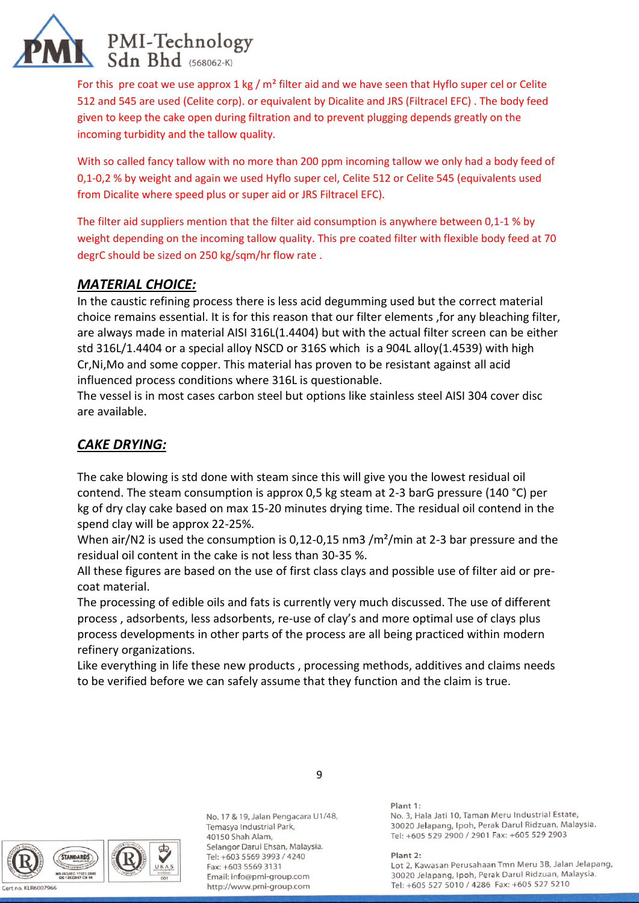

For this pre coat we use approx 1 kg /  $m<sup>2</sup>$  filter aid and we have seen that Hyflo super cel or Celite 512 and 545 are used (Celite corp). or equivalent by Dicalite and JRS (Filtracel EFC) . The body feed given to keep the cake open during filtration and to prevent plugging depends greatly on the incoming turbidity and the tallow quality.

With so called fancy tallow with no more than 200 ppm incoming tallow we only had a body feed of 0,1-0,2 % by weight and again we used Hyflo super cel, Celite 512 or Celite 545 (equivalents used from Dicalite where speed plus or super aid or JRS Filtracel EFC).

The filter aid suppliers mention that the filter aid consumption is anywhere between 0,1-1 % by weight depending on the incoming tallow quality. This pre coated filter with flexible body feed at 70 degrC should be sized on 250 kg/sqm/hr flow rate .

# *MATERIAL CHOICE:*

In the caustic refining process there is less acid degumming used but the correct material choice remains essential. It is for this reason that our filter elements ,for any bleaching filter, are always made in material AISI 316L(1.4404) but with the actual filter screen can be either std 316L/1.4404 or a special alloy NSCD or 316S which is a 904L alloy(1.4539) with high Cr,Ni,Mo and some copper. This material has proven to be resistant against all acid influenced process conditions where 316L is questionable.

The vessel is in most cases carbon steel but options like stainless steel AISI 304 cover disc are available.

# *CAKE DRYING:*

The cake blowing is std done with steam since this will give you the lowest residual oil contend. The steam consumption is approx 0,5 kg steam at 2-3 barG pressure (140 °C) per kg of dry clay cake based on max 15-20 minutes drying time. The residual oil contend in the spend clay will be approx 22-25%.

When air/N2 is used the consumption is 0,12-0,15 nm3 /m<sup>2</sup>/min at 2-3 bar pressure and the residual oil content in the cake is not less than 30-35 %.

All these figures are based on the use of first class clays and possible use of filter aid or precoat material.

The processing of edible oils and fats is currently very much discussed. The use of different process , adsorbents, less adsorbents, re-use of clay's and more optimal use of clays plus process developments in other parts of the process are all being practiced within modern refinery organizations.

Like everything in life these new products , processing methods, additives and claims needs to be verified before we can safely assume that they function and the claim is true.

9



No. 17 & 19, Jalan Pengacara U1/48, Temasya Industrial Park, 40150 Shah Alam, Selangor Darul Ehsan, Malaysia. Tel: +603 5569 3993 / 4240 Fax: +603 5569 3131 Email: info@pmi-group.com http://www.pmi-group.com

Plant 1: No. 3, Hala Jati 10, Taman Meru Industrial Estate, 30020 Jelapang, Ipoh, Perak Darul Ridzuan, Malaysia. Tel: +605 529 2900 / 2901 Fax: +605 529 2903

Plant 2: